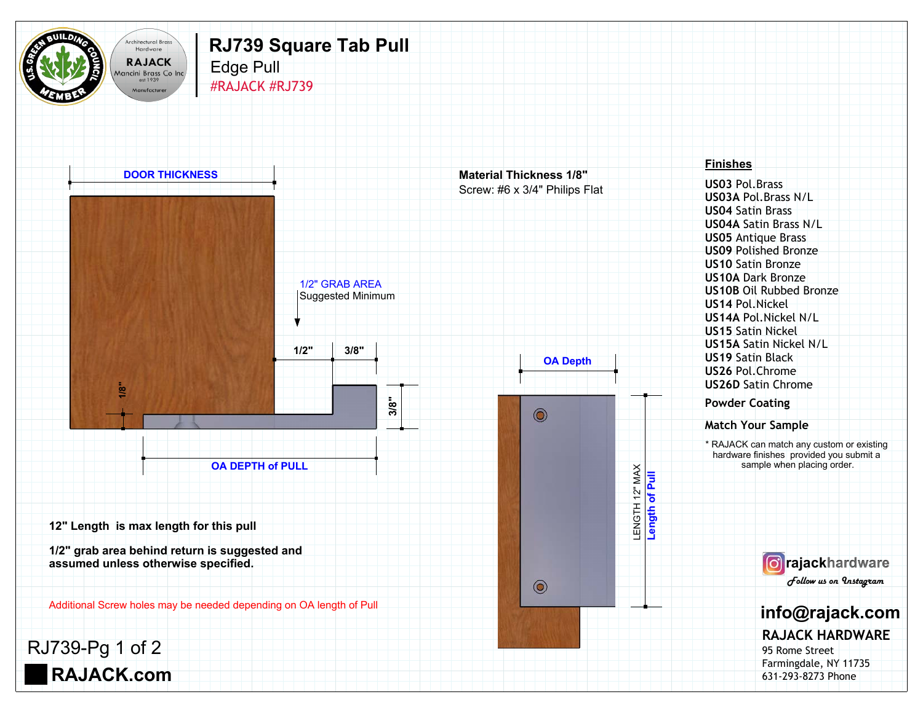

## Edge Pull **RJ739 Square Tab Pull**

Manufacturer #RAJACK #RJ739